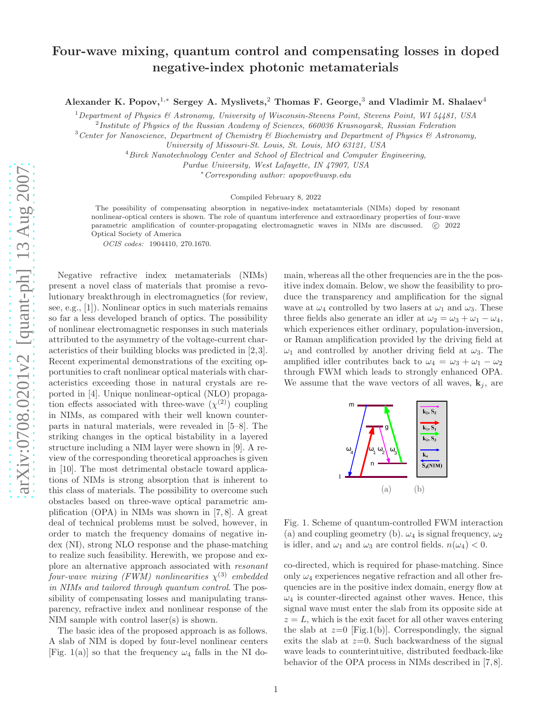## Four-wave mixing, quantum control and compensating losses in doped negative-index photonic metamaterials

Alexander K. Popov,<sup>1,\*</sup> Sergey A. Myslivets,<sup>2</sup> Thomas F. George,<sup>3</sup> and Vladimir M. Shalaev<sup>4</sup>

<sup>1</sup>*Department of Physics & Astronomy, University of Wisconsin-Stevens Point, Stevens Point, WI 54481, USA*

2 *Institute of Physics of the Russian Academy of Sciences, 660036 Krasnoyarsk, Russian Federation*

<sup>3</sup>*Center for Nanoscience, Department of Chemistry & Biochemistry and Department of Physics & Astronomy,*

*University of Missouri-St. Louis, St. Louis, MO 63121, USA*

<sup>4</sup>*Birck Nanotechnology Center and School of Electrical and Computer Engineering,*

*Purdue University, West Lafayette, IN 47907, USA*

<sup>∗</sup>*Corresponding author: apopov@uwsp.edu*

Compiled February 8, 2022

The possibility of compensating absorption in negative-index metatamterials (NIMs) doped by resonant nonlinear-optical centers is shown. The role of quantum interference and extraordinary properties of four-wave parametric amplification of counter-propagating electromagnetic waves in NIMs are discussed. © 2022 Optical Society of America

OCIS codes: 1904410, 270.1670.

Negative refractive index metamaterials (NIMs) present a novel class of materials that promise a revolutionary breakthrough in electromagnetics (for review, see, e.g., [1]). Nonlinear optics in such materials remains so far a less developed branch of optics. The possibility of nonlinear electromagnetic responses in such materials attributed to the asymmetry of the voltage-current characteristics of their building blocks was predicted in [2,3]. Recent experimental demonstrations of the exciting opportunities to craft nonlinear optical materials with characteristics exceeding those in natural crystals are reported in [4]. Unique nonlinear-optical (NLO) propagation effects associated with three-wave  $(\chi^{(2)})$  coupling in NIMs, as compared with their well known counterparts in natural materials, were revealed in [5–8]. The striking changes in the optical bistability in a layered structure including a NIM layer were shown in [9]. A review of the corresponding theoretical approaches is given in [10]. The most detrimental obstacle toward applications of NIMs is strong absorption that is inherent to this class of materials. The possibility to overcome such obstacles based on three-wave optical parametric amplification (OPA) in NIMs was shown in [7, 8]. A great deal of technical problems must be solved, however, in order to match the frequency domains of negative index (NI), strong NLO response and the phase-matching to realize such feasibility. Herewith, we propose and explore an alternative approach associated with resonant  $\emph{four-wave mixing (FWM) nonlinearities $\chi^{(3)}$ embedded}$ in NIMs and tailored through quantum control. The possibility of compensating losses and manipulating transparency, refractive index and nonlinear response of the NIM sample with control laser(s) is shown.

The basic idea of the proposed approach is as follows. A slab of NIM is doped by four-level nonlinear centers [Fig. 1(a)] so that the frequency  $\omega_4$  falls in the NI domain, whereas all the other frequencies are in the the positive index domain. Below, we show the feasibility to produce the transparency and amplification for the signal wave at  $\omega_4$  controlled by two lasers at  $\omega_1$  and  $\omega_3$ . These three fields also generate an idler at  $\omega_2 = \omega_3 + \omega_1 - \omega_4$ , which experiences either ordinary, population-inversion, or Raman amplification provided by the driving field at  $\omega_1$  and controlled by another driving field at  $\omega_3$ . The amplified idler contributes back to  $\omega_4 = \omega_3 + \omega_1 - \omega_2$ through FWM which leads to strongly enhanced OPA. We assume that the wave vectors of all waves,  $\mathbf{k}_i$ , are



Fig. 1. Scheme of quantum-controlled FWM interaction (a) and coupling geometry (b).  $\omega_4$  is signal frequency,  $\omega_2$ is idler, and  $\omega_1$  and  $\omega_3$  are control fields.  $n(\omega_4) < 0$ .

co-directed, which is required for phase-matching. Since only  $\omega_4$  experiences negative refraction and all other frequencies are in the positive index domain, energy flow at  $\omega_4$  is counter-directed against other waves. Hence, this signal wave must enter the slab from its opposite side at  $z = L$ , which is the exit facet for all other waves entering the slab at  $z=0$  [Fig.1(b)]. Correspondingly, the signal exits the slab at  $z=0$ . Such backwardness of the signal wave leads to counterintuitive, distributed feedback-like behavior of the OPA process in NIMs described in [7, 8].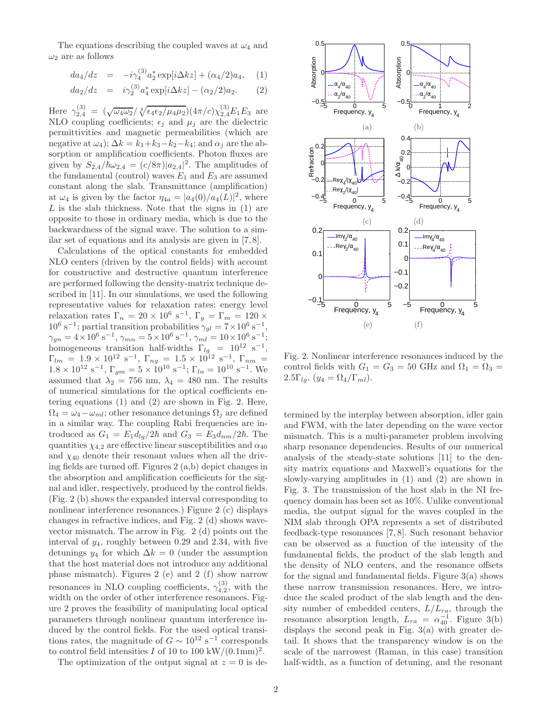The equations describing the coupled waves at  $\omega_4$  and  $\omega_2$  are as follows

$$
da_4/dz = -i\gamma_4^{(3)}a_2^* \exp[i\Delta kz] + (\alpha_4/2)a_4, \quad (1)
$$

$$
da_2/dz = i\gamma_2^{(3)}a_4^* \exp[i\Delta kz] - (\alpha_2/2)a_2. \qquad (2)
$$

Here  $\gamma_{2,4}^{(3)} = (\sqrt{\omega_4 \omega_2}/ \sqrt[4]{\epsilon_4 \epsilon_2/\mu_4 \mu_2}) (4\pi/c) \chi_{2,4}^{(3)} E_1 E_3$  are NLO coupling coefficients;  $\epsilon_i$  and  $\mu_i$  are the dielectric permittivities and magnetic permeabilities (which are negative at  $\omega_4$ );  $\Delta k = k_1 + k_3 - k_2 - k_4$ ; and  $\alpha_j$  are the absorption or amplification coefficients. Photon fluxes are given by  $S_{2,4}/\hbar\omega_{2,4} = (c/8\pi)|a_{2,4}|^2$ . The amplitudes of the fundamental (control) waves  $E_1$  and  $E_3$  are assumed constant along the slab. Transmittance (amplification) at  $\omega_4$  is given by the factor  $\eta_{4a} = |a_4(0)/a_4(L)|^2$ , where  $L$  is the slab thickness. Note that the signs in  $(1)$  are opposite to those in ordinary media, which is due to the backwardness of the signal wave. The solution to a similar set of equations and its analysis are given in [7, 8].

Calculations of the optical constants for embedded NLO centers (driven by the control fields) with account for constructive and destructive quantum interference are performed following the density-matrix technique described in [11]. In our simulations, we used the following representative values for relaxation rates: energy level relaxation rates  $\Gamma_n = 20 \times 10^6 \text{ s}^{-1}, \Gamma_g = \Gamma_m = 120 \times 10^6 \text{ s}^{-1}$  $10^6$  s<sup>-1</sup>; partial transition probabilities  $\gamma_{gl} = 7 \times 10^6$  s<sup>-1</sup>,  $\gamma_{gn} = 4 \times 10^6 \text{ s}^{-1}, \gamma_{mn} = 5 \times 10^6 \text{ s}^{-1}, \gamma_{ml} = 10 \times 10^6 \text{ s}^{-1};$ homogeneous transition half-widths  $\Gamma_{lg}$  = 10<sup>12</sup> s<sup>-1</sup> ,  $\Gamma_{lm} = 1.9 \times 10^{12} \text{ s}^{-1}, \Gamma_{ng} = 1.5 \times 10^{12} \text{ s}^{-1}, \Gamma_{nm} =$  $1.8 \times 10^{12} \text{ s}^{-1}$ ,  $\Gamma_{gm} = 5 \times 10^{10} \text{ s}^{-1}$ ;  $\Gamma_{ln} = 10^{10} \text{ s}^{-1}$ . We assumed that  $\lambda_2 = 756$  nm,  $\lambda_4 = 480$  nm. The results of numerical simulations for the optical coefficients entering equations (1) and (2) are shown in Fig. 2. Here,  $\Omega_4 = \omega_4 - \omega_{ml}$ ; other resonance detunings  $\Omega_i$  are defined in a similar way. The coupling Rabi frequencies are introduced as  $G_1 = E_1 d_{lg}/2\hbar$  and  $G_3 = E_3 d_{nm}/2\hbar$ . The quantities  $\chi_{4,2}$  are effective linear susceptibilities and  $\alpha_{40}$ and  $\chi_{40}$  denote their resonant values when all the driving fields are turned off. Figures 2 (a,b) depict changes in the absorption and amplification coefficients for the signal and idler, respectively, produced by the control fields. (Fig. 2 (b) shows the expanded interval corresponding to nonlinear interference resonances.) Figure 2 (c) displays changes in refractive indices, and Fig. 2 (d) shows wavevector mismatch. The arrow in Fig. 2 (d) points out the interval of  $y_4$ , roughly between 0.29 and 2.34, with five detunings  $y_4$  for which  $\Delta k = 0$  (under the assumption that the host material does not introduce any additional phase mismatch). Figures 2 (e) and 2 (f) show narrow resonances in NLO coupling coefficients,  $\gamma_{4,2}^{(3)}$ , with the width on the order of other interference resonances. Figure 2 proves the feasibility of manipulating local optical parameters through nonlinear quantum interference induced by the control fields. For the used optical transitions rates, the magnitude of  $G \sim 10^{12} \text{ s}^{-1}$  corresponds to control field intensities I of 10 to 100 kW/ $(0.1 \text{mm})^2$ .

The optimization of the output signal at  $z = 0$  is de-



Fig. 2. Nonlinear interference resonances induced by the control fields with  $G_1 = G_3 = 50$  GHz and  $\Omega_1 = \Omega_3 =$  $2.5\Gamma_{lg}$ .  $(y_4 = \Omega_4/\Gamma_{ml})$ .

termined by the interplay between absorption, idler gain and FWM, with the later depending on the wave vector mismatch. This is a multi-parameter problem involving sharp resonance dependencies. Results of our numerical analysis of the steady-state solutions [11] to the density matrix equations and Maxwell's equations for the slowly-varying amplitudes in (1) and (2) are shown in Fig. 3. The transmission of the host slab in the NI frequency domain has been set as 10%. Unlike conventional media, the output signal for the waves coupled in the NIM slab through OPA represents a set of distributed feedback-type resonances [7, 8]. Such resonant behavior can be observed as a function of the intensity of the fundamental fields, the product of the slab length and the density of NLO centers, and the resonance offsets for the signal and fundamental fields. Figure 3(a) shows these narrow transmission resonances. Here, we introduce the scaled product of the slab length and the density number of embedded centers,  $L/L_{ra}$ , through the resonance absorption length,  $L_{ra} = \alpha_{40}^{-1}$ . Figure 3(b) displays the second peak in Fig. 3(a) with greater detail. It shows that the transparency window is on the scale of the narrowest (Raman, in this case) transition half-width, as a function of detuning, and the resonant